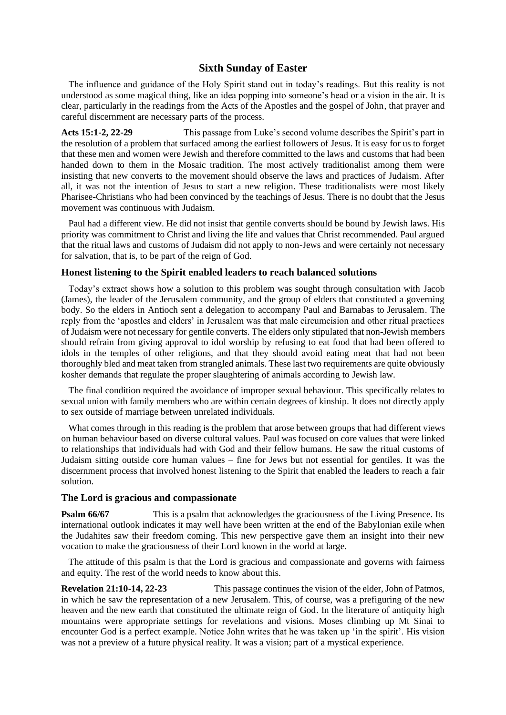# **Sixth Sunday of Easter**

The influence and guidance of the Holy Spirit stand out in today's readings. But this reality is not understood as some magical thing, like an idea popping into someone's head or a vision in the air. It is clear, particularly in the readings from the Acts of the Apostles and the gospel of John, that prayer and careful discernment are necessary parts of the process.

**Acts 15:1-2, 22-29** This passage from Luke's second volume describes the Spirit's part in the resolution of a problem that surfaced among the earliest followers of Jesus. It is easy for us to forget that these men and women were Jewish and therefore committed to the laws and customs that had been handed down to them in the Mosaic tradition. The most actively traditionalist among them were insisting that new converts to the movement should observe the laws and practices of Judaism. After all, it was not the intention of Jesus to start a new religion. These traditionalists were most likely Pharisee-Christians who had been convinced by the teachings of Jesus. There is no doubt that the Jesus movement was continuous with Judaism.

Paul had a different view. He did not insist that gentile converts should be bound by Jewish laws. His priority was commitment to Christ and living the life and values that Christ recommended. Paul argued that the ritual laws and customs of Judaism did not apply to non-Jews and were certainly not necessary for salvation, that is, to be part of the reign of God.

### **Honest listening to the Spirit enabled leaders to reach balanced solutions**

Today's extract shows how a solution to this problem was sought through consultation with Jacob (James), the leader of the Jerusalem community, and the group of elders that constituted a governing body. So the elders in Antioch sent a delegation to accompany Paul and Barnabas to Jerusalem. The reply from the 'apostles and elders' in Jerusalem was that male circumcision and other ritual practices of Judaism were not necessary for gentile converts. The elders only stipulated that non-Jewish members should refrain from giving approval to idol worship by refusing to eat food that had been offered to idols in the temples of other religions, and that they should avoid eating meat that had not been thoroughly bled and meat taken from strangled animals. These last two requirements are quite obviously kosher demands that regulate the proper slaughtering of animals according to Jewish law.

The final condition required the avoidance of improper sexual behaviour. This specifically relates to sexual union with family members who are within certain degrees of kinship. It does not directly apply to sex outside of marriage between unrelated individuals.

What comes through in this reading is the problem that arose between groups that had different views on human behaviour based on diverse cultural values. Paul was focused on core values that were linked to relationships that individuals had with God and their fellow humans. He saw the ritual customs of Judaism sitting outside core human values – fine for Jews but not essential for gentiles. It was the discernment process that involved honest listening to the Spirit that enabled the leaders to reach a fair solution.

## **The Lord is gracious and compassionate**

**Psalm 66/67** This is a psalm that acknowledges the graciousness of the Living Presence. Its international outlook indicates it may well have been written at the end of the Babylonian exile when the Judahites saw their freedom coming. This new perspective gave them an insight into their new vocation to make the graciousness of their Lord known in the world at large.

The attitude of this psalm is that the Lord is gracious and compassionate and governs with fairness and equity. The rest of the world needs to know about this.

**Revelation 21:10-14, 22-23** This passage continues the vision of the elder, John of Patmos, in which he saw the representation of a new Jerusalem. This, of course, was a prefiguring of the new heaven and the new earth that constituted the ultimate reign of God. In the literature of antiquity high mountains were appropriate settings for revelations and visions. Moses climbing up Mt Sinai to encounter God is a perfect example. Notice John writes that he was taken up 'in the spirit'. His vision was not a preview of a future physical reality. It was a vision; part of a mystical experience.